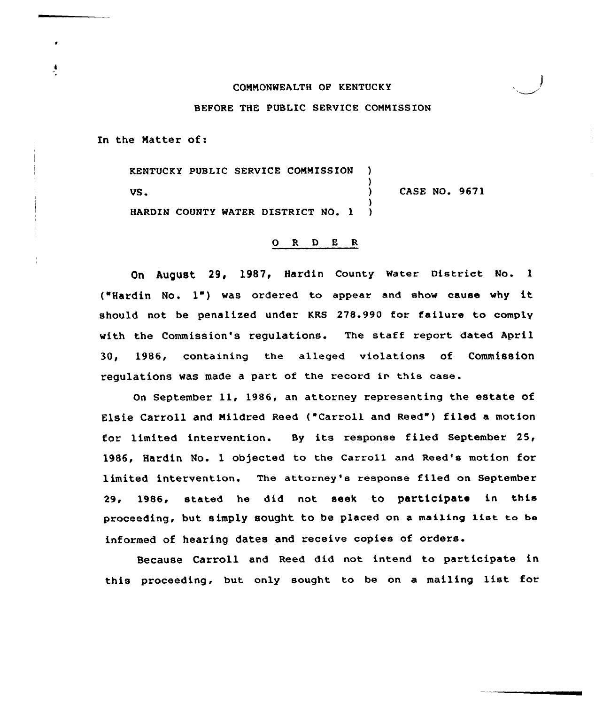## CONNONWEALTH OP KENTUCKY

# BEFORE THE PUBLIC SERVICE COMMISSION

In the Natter of:

KENTUCKY PUBLIC SERVICE COMMISSION ) ) VS. (1993) CASE NO. 9671 ) HARDIN COUNTY WATER DISTRICT NO. 1

### O R D E R

On August 29, 1987, Hardin County Water District No. 1 ("Hardin No. 1") was ordered ta appear and show cause why it should not be penalized under KRS 278.990 for failure to comply with the Commission's regulations. The staff report dated April 30, 1986, containing the alleged violations of Commission regulations was made a part of the record in this case.

On September 11, 1986, an attorney representing the estate of Elsie Carroll and Mildred Reed ("Carroll and Reed") filed a motion for limited intervention. By its response filed September 25, 1986, Hardin No. 1 ob)ected to the Carroll and Reed's motion for limited intervention. The attorney's response filed on September 29, 1986, stated he did not seek to participate in this proceeding, but simply sought to be placed on <sup>a</sup> mailing list to be informed of hearing dates and receive copies of orders.

Because Carroll and Reed did not intend to participate in this proceeding, but only sought. to be on <sup>a</sup> mailing list for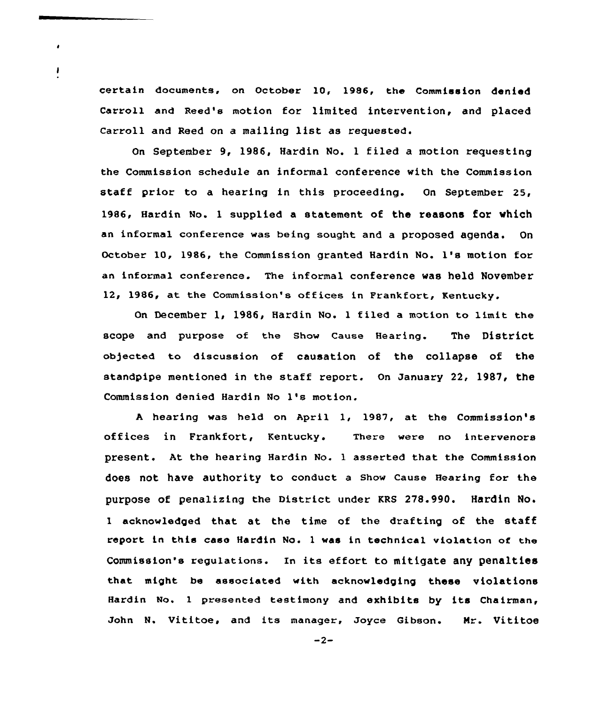certain documents, on October 10, 1986, the Commission denied Carroll and Reed's motion for limited intervention, and placed Carroll and Reed on <sup>a</sup> mailing list as requested.

 $\bullet$ 

ı

On September 9, 1986, Hardin No. <sup>1</sup> filed a motion requesting the Commission schedule an informal conference with the Commission staff prior to a hearing in this proceeding. On September 25, 1986, Hardin No. 1 supplied a statement of the reasons for which an informal conference was being sought and a proposed agenda. On October 10, 1986, the Commission granted Hardin No. 1's motion for an informal conference. The informal conference was held November 12, 1986, at the Commission's offices in Frankfort, Kentucky.

On December 1, 1986, Hardin No. <sup>1</sup> tiled a motion to limit the scope and purpose of the Show Cause Hearing. The District ob)ected to discussion of causation of the collapse of the standpipe mentioned in the staff report. On January 22, 1987, the Commission denied Hardin No 1's motion.

<sup>A</sup> hearing was held on April 1, 1987, at the Commission's offices in Frankfort, Kentucky. There were no intervenors present. At the hearing Hardin No. 1 asserted that the Commission does not have authority to conduct a Show Cause Hearing for the purpose of penalizing the District under KRS 278.990. Hardin No. <sup>1</sup> acknowledged that at the time of the drafting of the staff report in this case Hardin No. <sup>1</sup> was in technical violation of the Commission's regulations. In its effort to mitigate any penalties that might he associated with acknowledging these violations Hardin No. <sup>1</sup> presented testimony and exhibits by its Chairman, John N. Vititoe, and its manager, Joyce Gibson. Nr. Vititoe

 $-2-$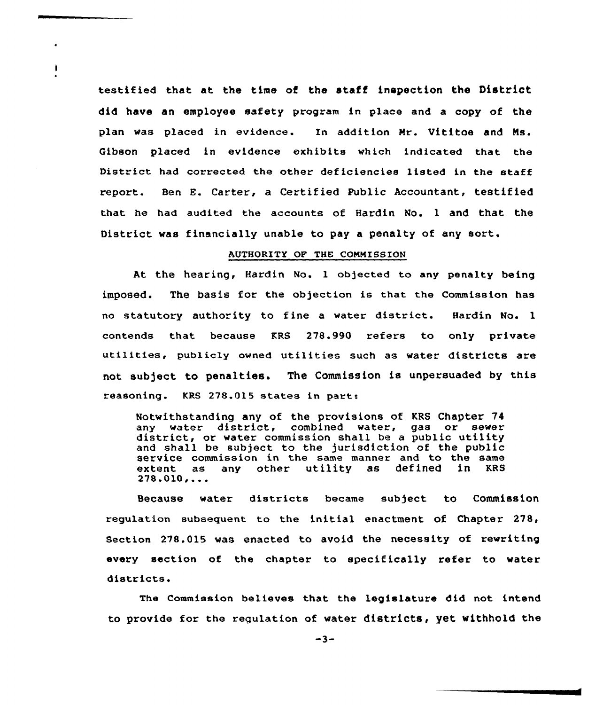testified that at the time of the staff inspection the District did have an employee safety program in place and a copy of the plan was placed in evidence. In addition Nr. Vititoe and Ns. Gibson placed in evidence exhibits which indicated that the District had corrected the other deficiencies listed in the staff report. Ben E. Carter, a Certified Public Accountant, testified that he had audited the accounts of Hardin No. 1 and that the District was financially unable to pay a penalty of any sort.

-1

#### AUTHORITY OF THE CONMISSION

At the hearing, Hardin No. 1 objected to any penalty being imposed. The basis for the objection is that the Commission has no statutory authority to fine <sup>a</sup> water district. Hardin No. <sup>1</sup> contends that because KRS 278.990 refers to only private utilities, publicly owned utilities such as water districts are not subject to penalties. The Commission is unpersuaded by this reasoning. KRS 278.015 states in part.:

Notwithstanding any of the provisions of KRS Chapter 74 any water district, combined water, gas or sewer district, or water commission shall be <sup>a</sup> public utility and shall be subject to the jurisdiction of the public service commission in the same manner and to the same<br>extent as any other utility as defined in KRS any other utility as defined  $278.010...$ 

Because water districts became subject to Commission requlation subsequent to the initial enactment of Chapter  $278<sub>t</sub>$ Section 278.015 was enacted to avoid the necessity of rewriting every section of the chapter to specifically refer to water districts.

Commission believes that the legislature did not intend to provide for the regulation of water districts, yet withhold the

 $-3-$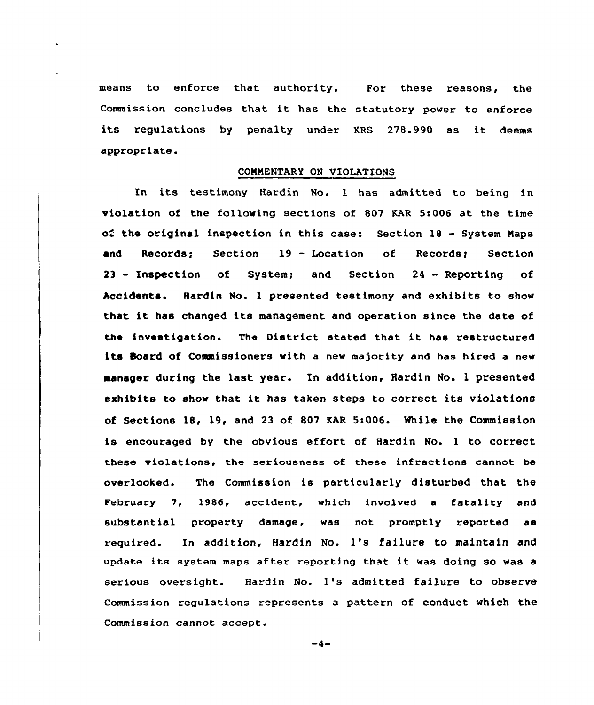means to enforce that authority. For these reasons, the Commission concludes that it has the statutory power to enforce its regulations by penalty under KRS 278.990 as it deems appropriate.

## CONNENTARY ON VIOLATIONS

In its testimony Hardin No. l has admitted to being in violation of the following sections of 807 KAR 5:006 at the time of the original inspection in this case: Section 18 — System Napa and Records: Section 19 - Location of Records: Section <sup>23</sup> — Inspection of System; and Section <sup>24</sup> - Reporting of Accidents. Hardin No. <sup>1</sup> presented testimony and exhibits to show that it has changed its management and operation since the date of the investigation. The District stated that it has restructured its Soard of Commissioners with a new majority and has hired a new manager during the last year. In addition, Hardin No. <sup>1</sup> presented exhibits to show that it has taken steps to correct its violations of Sections 18, 19, and 23 of 807 KAR 5:006. While the Commission is encouraged by the obvious effort of Hardin No. <sup>1</sup> to correct these violations, the seriousness of these infractions cannot be overlooked. The Commission is particularly disturbed that the February 7, 1986, accident, which involved <sup>a</sup> fatality and substantial property damage, was not promptly reported as required. In addition, Hardin No. 1's failure to maintain and update its system maps after reporting that it was doing so was <sup>a</sup> serious oversight. Hardin No. 1's admitted failure to observe Commission regulations represents a pattern of conduct which the Commission cannot accept.

 $-4-$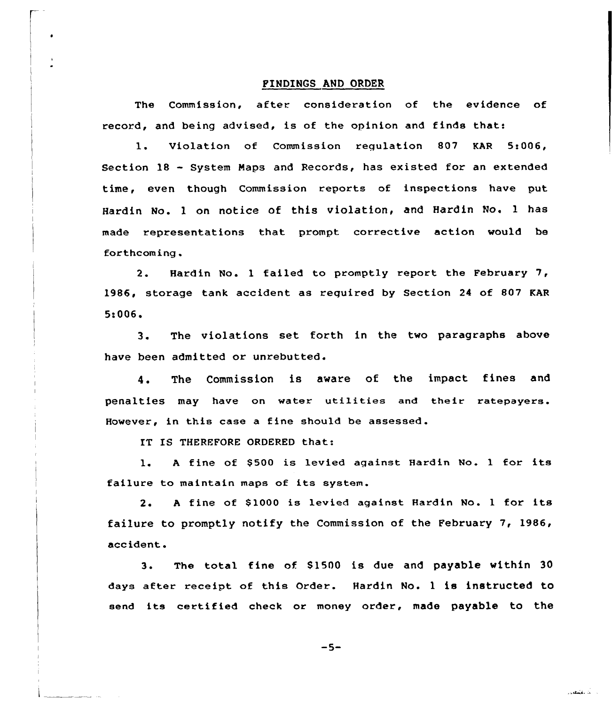## FINDINGS AND ORDER

The Commission, after consideration of the evidence of record, and being advised, is of the opinion and finds that:

1. Violation of Commission regulation 807 KAR 5:006, Section 18 — System Maps and Records, has existed for an extended time, even though Commission reports of inspections have put Hardin No. l on notice of this violation, and Hardin No. <sup>1</sup> has made representations that prompt corrective action would be forthcoming .

2. Hardin No. <sup>1</sup> failed to promptly report the February 7, 1986, storage tank accident as reguired by Section 24 of 807 KAR 5:006<sup>~</sup>

3. The violations set forth in the two paragraphs above have been admitted or unrebutted.

4. The Commission is aware of the impact fines and penalties may have on water utilities and their ratepayers. However, in this case a fine should be assessed.

IT IS THEREFORE ORDERED that:

1. A fine of \$500 is levied against Hardin No. 1 for its failure to maintain maps of its system.

2. A fine of \$1000 is levied against Hardin No. 1 for its failure to promptly notify the Commission of the February 7, 1986, accident.

3. The total fine of 81500 is due and payable within 30 days after receipt of this Order. Hardin No. <sup>1</sup> is instructed to send its certified check or money order, made payable to the

 $-5-$ 

الأنكاء والمتعاديان